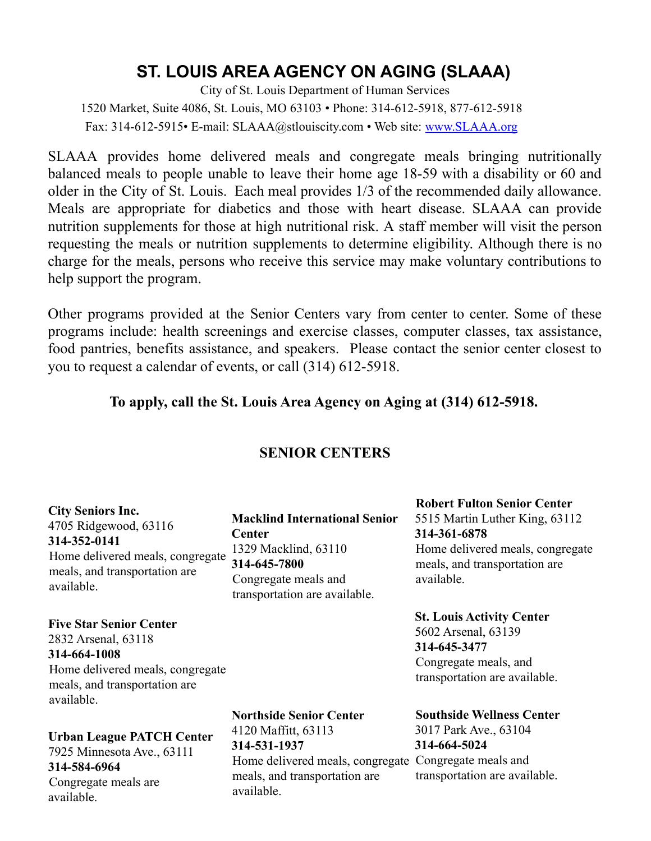## **ST. LOUIS AREA AGENCY ON AGING (SLAAA)**

City of St. Louis Department of Human Services 1520 Market, Suite 4086, St. Louis, MO 63103 • Phone: 314-612-5918, 877-612-5918 Fax: 314-612-5915• E-mail: SLAAA@stlouiscity.com • Web site: [www.SLAAA.org](http://www.slaaa.org)

SLAAA provides home delivered meals and congregate meals bringing nutritionally balanced meals to people unable to leave their home age 18-59 with a disability or 60 and older in the City of St. Louis. Each meal provides 1/3 of the recommended daily allowance. Meals are appropriate for diabetics and those with heart disease. SLAAA can provide nutrition supplements for those at high nutritional risk. A staff member will visit the person requesting the meals or nutrition supplements to determine eligibility. Although there is no charge for the meals, persons who receive this service may make voluntary contributions to help support the program.

Other programs provided at the Senior Centers vary from center to center. Some of these programs include: health screenings and exercise classes, computer classes, tax assistance, food pantries, benefits assistance, and speakers. Please contact the senior center closest to you to request a calendar of events, or call (314) 612-5918.

## **To apply, call the St. Louis Area Agency on Aging at (314) 612-5918.**

## **SENIOR CENTERS**

| <b>City Seniors Inc.</b>         | <b>Macklind International Senior</b> | <b>Robert Fulton Senior Center</b> |
|----------------------------------|--------------------------------------|------------------------------------|
| 4705 Ridgewood, 63116            | Center                               | 5515 Martin Luther King, 63112     |
| 314-352-0141                     | 1329 Macklind, 63110                 | 314-361-6878                       |
| Home delivered meals, congregate | 314-645-7800                         | Home delivered meals, congregate   |
| meals, and transportation are    | Congregate meals and                 | meals, and transportation are      |
| available.                       | transportation are available.        | available.                         |
|                                  |                                      | <b>St. Louis Activity Center</b>   |

**Five Star Senior Center** 2832 Arsenal, 63118 **314-664-1008** Home delivered meals, congregate meals, and transportation are available.

**Urban League PATCH Center** 7925 Minnesota Ave., 63111 **314-584-6964** Congregate meals are available.

**St. Louis Activity Center** 5602 Arsenal, 63139 **314-645-3477** Congregate meals, and transportation are available.

**Southside Wellness Center** 3017 Park Ave., 63104 **314-664-5024** transportation are available.

**Northside Senior Center** 4120 Maffitt, 63113 **314-531-1937**

Home delivered meals, congregate Congregate meals and meals, and transportation are available.